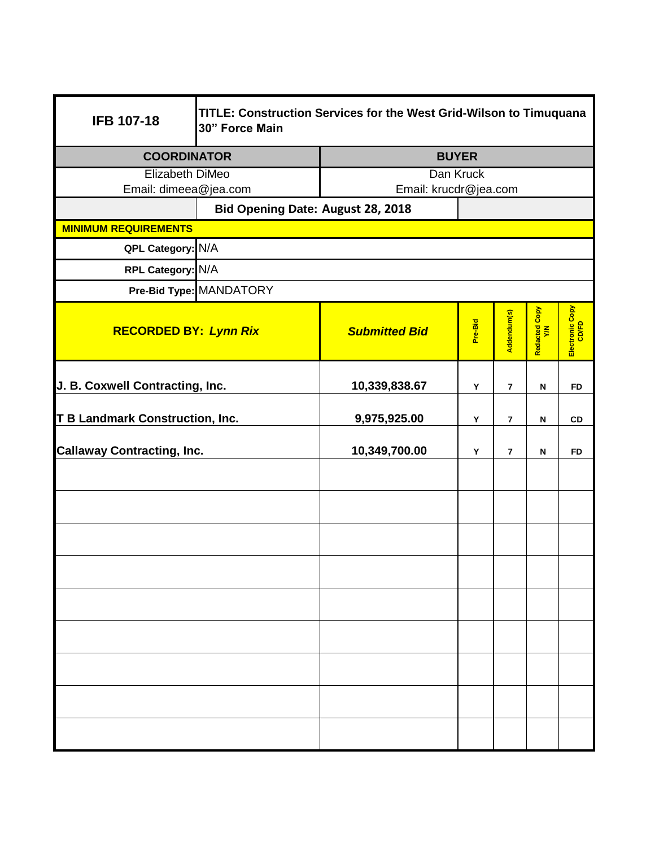| <b>IFB 107-18</b>                      | TITLE: Construction Services for the West Grid-Wilson to Timuquana<br>30" Force Main |                       |              |                |                           |                          |
|----------------------------------------|--------------------------------------------------------------------------------------|-----------------------|--------------|----------------|---------------------------|--------------------------|
| <b>COORDINATOR</b>                     |                                                                                      |                       | <b>BUYER</b> |                |                           |                          |
| Elizabeth DiMeo                        |                                                                                      | Dan Kruck             |              |                |                           |                          |
| Email: dimeea@jea.com                  |                                                                                      | Email: krucdr@jea.com |              |                |                           |                          |
|                                        | Bid Opening Date: August 28, 2018                                                    |                       |              |                |                           |                          |
| <b>MINIMUM REQUIREMENTS</b>            |                                                                                      |                       |              |                |                           |                          |
| QPL Category: N/A                      |                                                                                      |                       |              |                |                           |                          |
| RPL Category: N/A                      |                                                                                      |                       |              |                |                           |                          |
|                                        | Pre-Bid Type: MANDATORY                                                              |                       |              |                |                           |                          |
| <b>RECORDED BY: Lynn Rix</b>           |                                                                                      | <b>Submitted Bid</b>  | Pre-Bid      | Addendum(s)    | Redacted Copy<br>Y/N      | Electronic Copy<br>CD/FD |
| J. B. Coxwell Contracting, Inc.        |                                                                                      | 10,339,838.67         | Y            | $\overline{7}$ | $\boldsymbol{\mathsf{N}}$ | <b>FD</b>                |
| <b>T B Landmark Construction, Inc.</b> |                                                                                      | 9,975,925.00          | Υ            | $\overline{7}$ | $\boldsymbol{\mathsf{N}}$ | CD                       |
| <b>Callaway Contracting, Inc.</b>      |                                                                                      | 10,349,700.00         | Υ            | $\overline{7}$ | ${\sf N}$                 | <b>FD</b>                |
|                                        |                                                                                      |                       |              |                |                           |                          |
|                                        |                                                                                      |                       |              |                |                           |                          |
|                                        |                                                                                      |                       |              |                |                           |                          |
|                                        |                                                                                      |                       |              |                |                           |                          |
|                                        |                                                                                      |                       |              |                |                           |                          |
|                                        |                                                                                      |                       |              |                |                           |                          |
|                                        |                                                                                      |                       |              |                |                           |                          |
|                                        |                                                                                      |                       |              |                |                           |                          |
|                                        |                                                                                      |                       |              |                |                           |                          |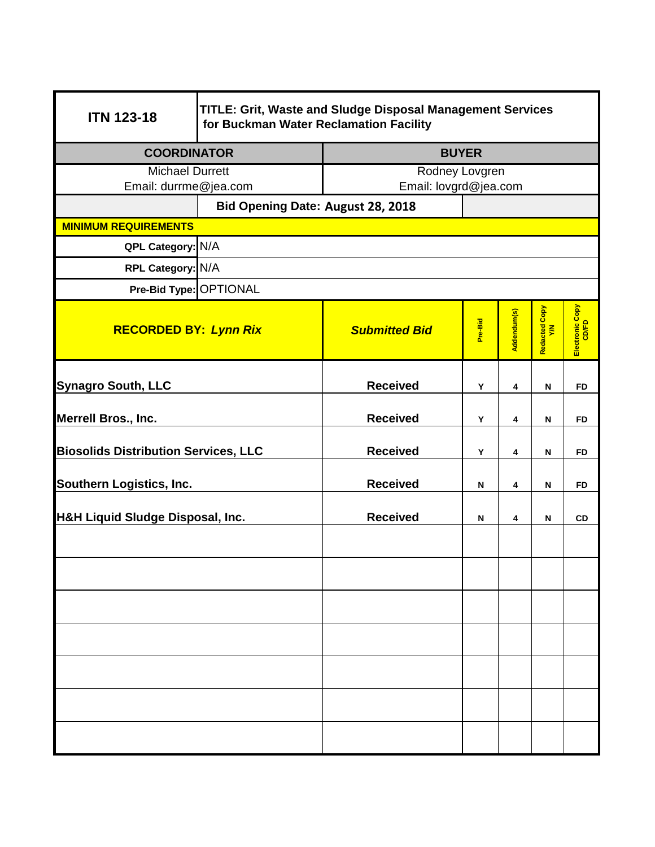| <b>ITN 123-18</b>                           | TITLE: Grit, Waste and Sludge Disposal Management Services<br>for Buckman Water Reclamation Facility |                       |         |             |                      |                          |  |
|---------------------------------------------|------------------------------------------------------------------------------------------------------|-----------------------|---------|-------------|----------------------|--------------------------|--|
| <b>COORDINATOR</b>                          |                                                                                                      | <b>BUYER</b>          |         |             |                      |                          |  |
| <b>Michael Durrett</b>                      |                                                                                                      | Rodney Lovgren        |         |             |                      |                          |  |
| Email: durrme@jea.com                       |                                                                                                      | Email: lovgrd@jea.com |         |             |                      |                          |  |
|                                             | Bid Opening Date: August 28, 2018                                                                    |                       |         |             |                      |                          |  |
| <b>MINIMUM REQUIREMENTS</b>                 |                                                                                                      |                       |         |             |                      |                          |  |
| QPL Category: N/A                           |                                                                                                      |                       |         |             |                      |                          |  |
| RPL Category: N/A                           |                                                                                                      |                       |         |             |                      |                          |  |
| Pre-Bid Type: OPTIONAL                      |                                                                                                      |                       |         |             |                      |                          |  |
| <b>RECORDED BY: Lynn Rix</b>                |                                                                                                      | <b>Submitted Bid</b>  | Pre-Bid | Addendum(s) | Redacted Copy<br>Y/N | Electronic Copy<br>CD/FD |  |
| <b>Synagro South, LLC</b>                   |                                                                                                      | <b>Received</b>       | Y       | 4           | N                    | <b>FD</b>                |  |
| <b>Merrell Bros., Inc.</b>                  |                                                                                                      | <b>Received</b>       | Y       | 4           | N                    | <b>FD</b>                |  |
| <b>Biosolids Distribution Services, LLC</b> |                                                                                                      | <b>Received</b>       | Y       | 4           | ${\sf N}$            | <b>FD</b>                |  |
| Southern Logistics, Inc.                    |                                                                                                      | <b>Received</b>       | N       | 4           | N                    | <b>FD</b>                |  |
| H&H Liquid Sludge Disposal, Inc.            |                                                                                                      | <b>Received</b>       | N       | 4           | $\mathbf N$          | CD                       |  |
|                                             |                                                                                                      |                       |         |             |                      |                          |  |
|                                             |                                                                                                      |                       |         |             |                      |                          |  |
|                                             |                                                                                                      |                       |         |             |                      |                          |  |
|                                             |                                                                                                      |                       |         |             |                      |                          |  |
|                                             |                                                                                                      |                       |         |             |                      |                          |  |
|                                             |                                                                                                      |                       |         |             |                      |                          |  |
|                                             |                                                                                                      |                       |         |             |                      |                          |  |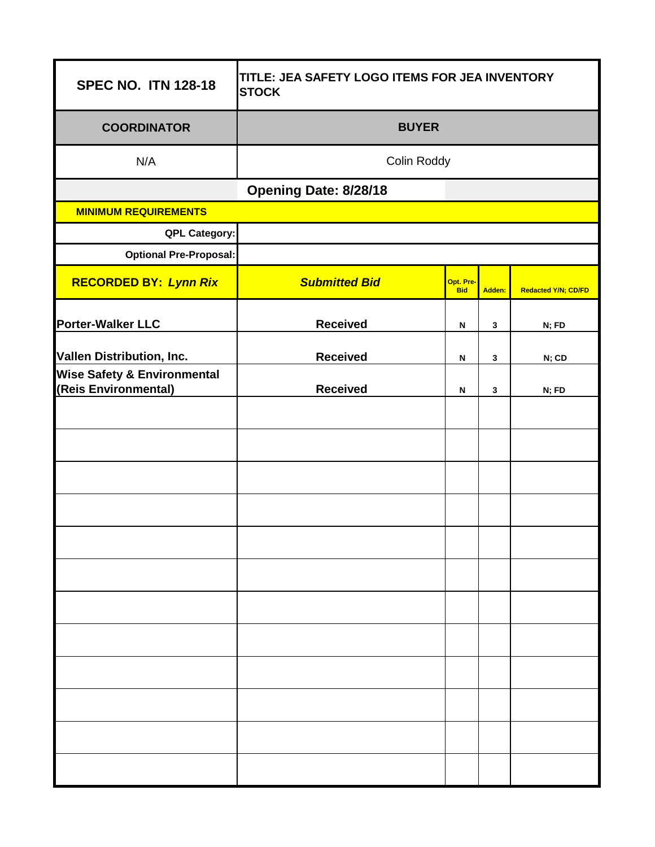| <b>SPEC NO. ITN 128-18</b>                                          | TITLE: JEA SAFETY LOGO ITEMS FOR JEA INVENTORY<br><b>STOCK</b> |                         |              |                            |  |
|---------------------------------------------------------------------|----------------------------------------------------------------|-------------------------|--------------|----------------------------|--|
| <b>COORDINATOR</b>                                                  | <b>BUYER</b>                                                   |                         |              |                            |  |
| N/A                                                                 | Colin Roddy                                                    |                         |              |                            |  |
|                                                                     | Opening Date: 8/28/18                                          |                         |              |                            |  |
| <b>MINIMUM REQUIREMENTS</b>                                         |                                                                |                         |              |                            |  |
| <b>QPL Category:</b>                                                |                                                                |                         |              |                            |  |
| <b>Optional Pre-Proposal:</b>                                       |                                                                |                         |              |                            |  |
| <b>RECORDED BY: Lynn Rix</b>                                        | <b>Submitted Bid</b>                                           | Opt. Pre-<br><b>Bid</b> | Adden:       | <b>Redacted Y/N; CD/FD</b> |  |
| Porter-Walker LLC                                                   | <b>Received</b>                                                | N                       | 3            | N; FD                      |  |
|                                                                     | <b>Received</b>                                                |                         |              |                            |  |
| Vallen Distribution, Inc.<br><b>Wise Safety &amp; Environmental</b> |                                                                | N                       | $\mathbf{3}$ | N; CD                      |  |
| (Reis Environmental)                                                | <b>Received</b>                                                | N                       | $\mathbf{3}$ | N; FD                      |  |
|                                                                     |                                                                |                         |              |                            |  |
|                                                                     |                                                                |                         |              |                            |  |
|                                                                     |                                                                |                         |              |                            |  |
|                                                                     |                                                                |                         |              |                            |  |
|                                                                     |                                                                |                         |              |                            |  |
|                                                                     |                                                                |                         |              |                            |  |
|                                                                     |                                                                |                         |              |                            |  |
|                                                                     |                                                                |                         |              |                            |  |
|                                                                     |                                                                |                         |              |                            |  |
|                                                                     |                                                                |                         |              |                            |  |
|                                                                     |                                                                |                         |              |                            |  |
|                                                                     |                                                                |                         |              |                            |  |